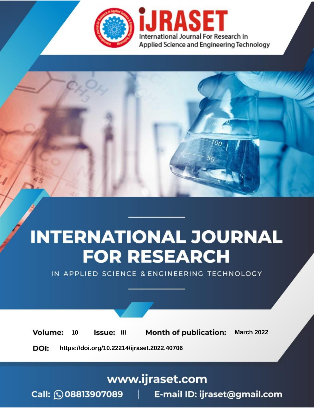

# **INTERNATIONAL JOURNAL FOR RESEARCH**

IN APPLIED SCIENCE & ENGINEERING TECHNOLOGY

10 **Issue: III Month of publication:** March 2022 **Volume:** 

**https://doi.org/10.22214/ijraset.2022.40706**DOI:

www.ijraset.com

Call: 008813907089 | E-mail ID: ijraset@gmail.com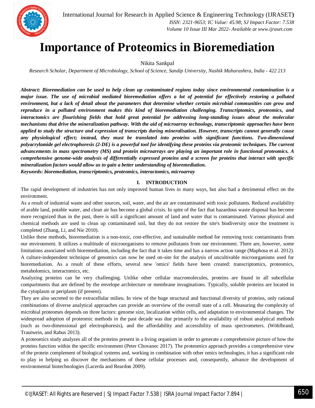

### **Importance of Proteomics in Bioremediation**

Nikita Sankpal

*Research Scholar, Department of Microbiology, School of Science, Sandip University, Nashik Maharashtra, India - 422 213*

*Abstract: Bioremediation can be used to help clean up contaminated regions today since environmental contamination is a major issue. The use of microbial mediated bioremediation offers a lot of potential for effectively restoring a polluted environment, but a lack of detail about the parameters that determine whether certain microbial communities can grow and reproduce in a polluted environment makes this kind of bioremediation challenging. Transcriptomics, proteomics, and interactomics are flourishing fields that hold great potential for addressing long-standing issues about the molecular mechanisms that drive the mineralization pathway. With the aid of microarray technology, transcriptomic approaches have been applied to study the structure and expression of transcripts during mineralisation. However, transcripts cannot generally cause any physiological effect; instead, they must be translated into proteins with significant functions. Two-dimensional polyacrylamide gel electrophoresis (2-DE) is a powerful tool for identifying these proteins via proteomic techniques. The current advancements in mass spectrometry (MS) and protein microarrays are playing an important role in functional proteomics. A comprehensive genome-wide analysis of differentially expressed proteins and a screen for proteins that interact with specific mineralization factors would allow us to gain a better understanding of bioremediation.*

*Keywords: bioremediation, transcriptomics, proteomics, interactomics, microarray*

#### **I. INTRODUCTION**

The rapid development of industries has not only improved human lives in many ways, but also had a detrimental effect on the environment.

As a result of industrial waste and other sources, soil, water, and the air are contaminated with toxic pollutants. Reduced availability of arable land, potable water, and clean air has become a global crisis. In spite of the fact that hazardous waste disposal has become more recognized than in the past, there is still a significant amount of land and water that is contaminated. Various physical and chemical methods are used to clean up contaminated soil, but they do not restore the site's biodiversity once the treatment is completed (Zhang, Li, and Nie 2010).

Unlike these methods, bioremediation is a non-toxic, cost-effective, and sustainable method for removing toxic contaminants from our environment. It utilizes a multitude of microorganisms to remove pollutants from our environment. There are, however, some limitations associated with bioremediation, including the fact that it takes time and has a narrow action range (Maphosa et al. 2012). A culture-independent technique of genomics can now be used on-site for the analysis of uncultivable microorganisms used for bioremediation. As a result of these efforts, several new 'omics' fields have been created: transcriptomics, proteomics, metabolomics, interactomics, etc.

Analyzing proteins can be very challenging. Unlike other cellular macromolecules, proteins are found in all subcellular compartments that are defined by the envelope architecture or membrane invaginations. Typically, soluble proteins are located in the cytoplasm or periplasm (if present).

They are also secreted to the extracellular milieu. In view of the huge structural and functional diversity of proteins, only rational combinations of diverse analytical approaches can provide an overview of the overall state of a cell. Measuring the complexity of microbial proteomes depends on three factors: genome size, localization within cells, and adaptation to environmental changes. The widespread adoption of proteomic methods in the past decade was due primarily to the availability of robust analytical methods (such as two-dimensional gel electrophoresis), and the affordability and accessibility of mass spectrometers. (Wöhlbrand, Trautwein, and Rabus 2013).

A proteomics study analyzes all of the proteins present in a living organism in order to generate a comprehensive picture of how the proteins function within the specific environment (Peter Chovanec 2017). The proteomics approach provides a comprehensive view of the protein complement of biological systems and, working in combination with other omics technologies, it has a significant role to play in helping us discover the mechanisms of these cellular processes and, consequently, advance the development of environmental biotechnologies (Lacerda and Reardon 2009).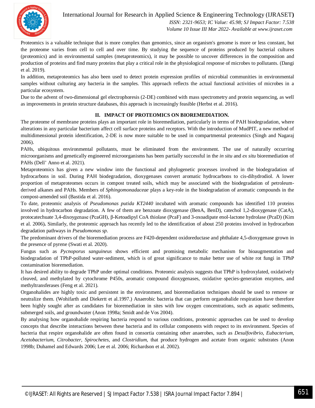

International Journal for Research in Applied Science & Engineering Technology (IJRASET**)**  *ISSN: 2321-9653; IC Value: 45.98; SJ Impact Factor: 7.538 Volume 10 Issue III Mar 2022- Available at www.ijraset.com*

Proteomics is a valuable technique that is more complex than genomics, since an organism's genome is more or less constant, but the proteome varies from cell to cell and over time. By studying the sequence of proteins produced by bacterial cultures (proteomics) and in environmental samples (metaproteomics), it may be possible to uncover differences in the composition and production of proteins and find many proteins that play a critical role in the physiological response of microbes to pollutants. (Dangi et al. 2019).

In addition, metaproteomics has also been used to detect protein expression profiles of microbial communities in environmental samples without culturing any bacteria in the samples. This approach reflects the actual functional activities of microbes in a particular ecosystem.

Due to the advent of two-dimensional gel electrophoresis (2-DE) combined with mass spectrometry and protein sequencing, as well as improvements in protein structure databases, this approach is increasingly feasible (Herbst et al. 2016).

#### **II. IMPACT OF PROTEOMICS ON BIOREMEDIATION.**

The proteome of membrane proteins plays an important role in bioremediation, particularly in terms of PAH biodegradation, where alterations in any particular bacterium affect cell surface proteins and receptors. With the introduction of MudPIT, a new method of multidimensional protein identification, 2-DE is now more suitable to be used in compartmental proteomics (Singh and Nagaraj 2006).

PAHs, ubiquitous environmental pollutants, must be eliminated from the environment. The use of naturally occurring microorganisms and genetically engineered microorganisms has been partially successful in the *in situ* and *ex situ* bioremediation of PAHs (Dell' Anno et al. 2021)*.*

Metaproteomics has given a new window into the functional and phylogenetic processes involved in the biodegradation of hydrocarbons in soil. During PAH biodegradation, dioxygenases convert aromatic hydrocarbons to cis-dihydrodiol. A lower proportion of metaproteomes occurs in compost treated soils, which may be associated with the biodegradation of petroleumderived alkanes and PAHs. Members of *Sphingomonadaceae* plays a key-role in the biodegradation of aromatic compounds in the compost-amended soil (Bastida et al. 2016).

To date, proteomic analysis of *Pseudomonas putida KT2440* incubated with aromatic compounds has identified 110 proteins involved in hydrocarbon degradation. A few of them are benzoate dioxygenase (BenA, BenD), catechol 1,2-dioxygenase (CatA), protocatechuate 3,4-dixoygenase (PcaGH), β-Ketoadipyl CoA thiolase (PcaF) and 3-oxoadipate enol-lactone hydrolase (PcaD) (Kim et al. 2006)**.** Similarly, the proteomic approach has recently led to the identification of about 250 proteins involved in hydrocarbon degradation pathways in *Pseudomonas sp*.

The predominant drivers of the bioremediation process are F420-dependent oxidoreductase and phthalate 4,5-dioxygenase grown in the presence of pyrene (Swati et al. 2020).

Fungus such as *Pycnoporus sanguineus* shows efficient and promising metabolic mechanism for bioaugmentation and biodegradation of TPhP-polluted water-sediment, which is of great significance to make better use of white rot fungi in TPhP contamination bioremediation.

It has desired ability to degrade TPhP under optimal conditions. Proteomic analysis suggests that TPhP is hydroxylated, oxidatively cleaved, and methylated by cytochrome P450s, aromatic compound dioxygenases, oxidative species-generation enzymes, and methyltransferases (Feng et al. 2021).

Organohalides are highly toxic and persistent in the environment, and bioremediation techniques should be used to remove or neutralize them. (Wohifarth and Diekertt et al.1997.) Anaerobic bacteria that can perform organohalide respiration have therefore been highly sought after as candidates for bioremediation in sites with low oxygen concentrations, such as aquatic sediments, submerged soils, and groundwater (Anon 1998a; Smidt and de Vos 2004).

By analysing how organohalide respiring bacteria respond to various conditions, proteomic approaches can be used to develop concepts that describe interactions between these bacteria and its cellular components with respect to its environment. Species of bacteria that respire organohalide are often found in consortia containing other anaerobes, such as *Desulfovibrio, Eubacterium, Acetobacterium*, *Citrobacter, Spirochetes*, and *Clostridium,* that produce hydrogen and acetate from organic substrates (Anon 1998b; Duhamel and Edwards 2006; Lee et al. 2006; Richardson et al. 2002).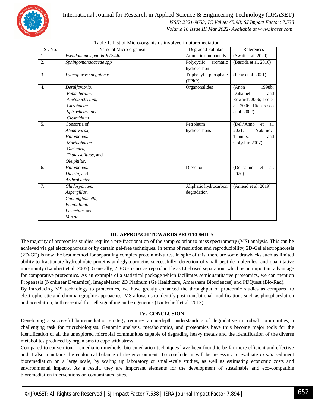

#### International Journal for Research in Applied Science & Engineering Technology (IJRASET**)**  *ISSN: 2321-9653; IC Value: 45.98; SJ Impact Factor: 7.538 Volume 10 Issue III Mar 2022- Available at www.ijraset.com*

| Sr. No.          | Name of Micro-organism    | Degraded Pollutant     | References              |  |
|------------------|---------------------------|------------------------|-------------------------|--|
| 1.               | Pseudomonas putida KT2440 | Aromatic compounds     | (Swati et al. 2020)     |  |
| 2.               | Sphingomonadaceae spp.    | Polycyclic<br>aromatic | (Bastida et al. 2016)   |  |
|                  |                           | hydrocarbon            |                         |  |
| 3.               | Pycnoporus sanguineus     | Triphenyl<br>phosphate | (Feng et al. 2021)      |  |
|                  |                           | (TPhP)                 |                         |  |
| $\overline{4}$ . | Desulfovibrio,            | Organohalides          | 1998b;<br>(Anon         |  |
|                  | Eubacterium,              |                        | Duhamel<br>and          |  |
|                  | Acetobacterium.           |                        | Edwards 2006; Lee et    |  |
|                  | Citrobacter.              |                        | al. 2006; Richardson    |  |
|                  | Spirochetes, and          |                        | et al. 2002)            |  |
|                  | Clostridium               |                        |                         |  |
| 5.               | Consortia of              | Petroleum              | (Dell'Anno<br>et<br>al. |  |
|                  | Alcanivorax,              | hydrocarbons           | 2021:<br>Yakimov,       |  |
|                  | Halomonas,                |                        | Timmis,<br>and          |  |
|                  | Marinobacter,             |                        | Golyshin 2007)          |  |
|                  | Oleispira,                |                        |                         |  |
|                  | Thalassolituus, and       |                        |                         |  |
|                  | Oleiphilus.               |                        |                         |  |
| 6.               | Halomonas,                | Diesel oil             | (Dell'anno<br>al.<br>et |  |
|                  | Dietzia, and              |                        | 2020)                   |  |
|                  | Arthrobacter              |                        |                         |  |
| 7.               | Cladosporium,             | Aliphatic hydrocarbon  | (Amend et al. 2019)     |  |
|                  | Aspergillus,              | degradation            |                         |  |
|                  | Cunninghamella,           |                        |                         |  |
|                  | Penicillium,              |                        |                         |  |
|                  | Fusarium, and             |                        |                         |  |
|                  | Mucor                     |                        |                         |  |

|  |  |  |  |  |  | Table 1. List of Micro-organisms involved in bioremediation. |
|--|--|--|--|--|--|--------------------------------------------------------------|
|--|--|--|--|--|--|--------------------------------------------------------------|

#### **III. APPROACH TOWARDS PROTEOMICS**

The majority of proteomics studies require a pre-fractionation of the samples prior to mass spectrometry (MS) analysis. This can be achieved via gel electrophoresis or by certain gel-free techniques. In terms of resolution and reproducibility, 2D-Gel electrophoresis (2D-GE) is now the best method for separating complex protein mixtures. In spite of this, there are some drawbacks such as limited ability to fractionate hydrophobic proteins and glycoproteins successfully, detection of small peptide molecules, and quantitative uncertainty (Lambert et al. 2005). Generally, 2D-GE is not as reproducible as LC-based separation, which is an important advantage for comparative proteomics. As an example of a statistical package which facilitates semiquantitative proteomics, we can mention Progenesis (Nonlinear Dynamics), ImageMaster 2D Platinum (Ge Healthcare, Amersham Biosciences) and PDQuest (Bio-Rad).

By introducing MS technology to proteomics, we have greatly enhanced the throughput of proteomic studies as compared to electrophoretic and chromatographic approaches. MS allows us to identify post-translational modifications such as phosphorylation and acetylation, both essential for cell signalling and epigenetics (Bantscheff et al. 2012).

#### **IV. CONCLUSION**

Developing a successful bioremediation strategy requires an in-depth understanding of degradative microbial communities, a challenging task for microbiologists. Genomic analysis, metabolomics, and proteomics have thus become major tools for the identification of all the unexplored microbial communities capable of degrading heavy metals and the identification of the diverse metabolites produced by organisms to cope with stress.

Compared to conventional remediation methods, bioremediation techniques have been found to be far more efficient and effective and it also maintains the ecological balance of the environment. To conclude, it will be necessary to evaluate *in situ* sediment bioremediation on a large scale, by scaling up laboratory or small-scale studies, as well as estimating economic costs and environmental impacts. As a result, they are important elements for the development of sustainable and eco-compatible bioremediation interventions on contaminated sites.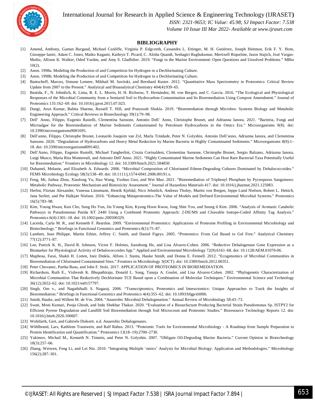International Journal for Research in Applied Science & Engineering Technology (IJRASET**)**



 *ISSN: 2321-9653; IC Value: 45.98; SJ Impact Factor: 7.538*

 *Volume 10 Issue III Mar 2022- Available at www.ijraset.com*

#### **BIBLIOGRAPHY**

- [1] Amend, Anthony, Gaetan Burgaud, Michael Cunliffe, Virginia P. Edgcomb, Cassandra L. Ettinger, M. H. Gutiérrez, Joseph Heitman, Erik F. Y. Hom, Giuseppe Ianiri, Adam C. Jones, Maiko Kagami, Kathryn T. Picard, C. Alisha Quandt, Seshagiri Raghukumar, Mertixell Riquelme, Jason Stajich, José Vargas-Muñiz, Allison K. Walker, Oded Yarden, and Amy S. Gladfelter. 2019. "Fungi in the Marine Environment: Open Questions and Unsolved Problems." MBio 10(2).
- [2] Anon. 1998a. Modeling the Production of and Competition for Hydrogen in a Dechlorinating Culture.
- [3] Anon. 1998b. Modeling the Production of and Competition for Hydrogen in a Dechlorinating Culture.
- [4] Bantscheff, Marcus, Simone Lemeer, Mikhail M. Savitski, and Bernhard Kuster. 2012. "Quantitative Mass Spectrometry in Proteomics: Critical Review Update from 2007 to the Present." Analytical and Bioanalytical Chemistry 404(4):939–65.
- [5] Bastida, F., N. Jehmlich, K. Lima, B. E. L. Morris, H. H. Richnow, T. Hernández, M. von Bergen, and C. García. 2016. "The Ecological and Physiological Responses of the Microbial Community from a Semiarid Soil to Hydrocarbon Contamination and Its Bioremediation Using Compost Amendment." Journal of Proteomics 135:162–69. doi: 10.1016/j.jprot.2015.07.023.
- [6] Dangi, Arun Kumar, Babita Sharma, Russell T. Hill, and Pratyoosh Shukla. 2019. "Bioremediation through Microbes: Systems Biology and Metabolic Engineering Approach." Critical Reviews in Biotechnology 39(1):79–98.
- [7] Dell' Anno, Filippo, Eugenio Rastelli, Clementina Sansone, Antonio Dell' Anno, Christophe Brunet, and Adrianna Ianora. 2021. "Bacteria, Fungi and Microalgae for the Bioremediation of Marine Sediments Contaminated by Petroleum Hydrocarbons in the Omics Era." Microorganisms 9(8). doi: 10.3390/microorganisms9081695.
- [8] Dell'anno, Filippo, Christophe Brunet, Leonardo Joaquim van Zyl, Marla Trindade, Peter N. Golyshin, Antonio Dell'anno, Adrianna Ianora, and Clementina Sansone. 2020. "Degradation of Hydrocarbons and Heavy Metal Reduction by Marine Bacteria in Highly Contaminated Sediments." Microorganisms 8(9):1– 18. doi: 10.3390/microorganisms8091402.
- [9] Dell'Anno, Filippo, Eugenio Rastelli, Michael Tangherlini, Cinzia Corinaldesi, Clementina Sansone, Christophe Brunet, Sergio Balzano, Adrianna Ianora, Luigi Musco, Maria Rita Montereali, and Antonio Dell'Anno. 2021. "Highly Contaminated Marine Sediments Can Host Rare Bacterial Taxa Potentially Useful for Bioremediation." Frontiers in Microbiology 12. doi: 10.3389/fmicb.2021.584850.
- [10] Duhamel, Melanie, and Elizabeth A. Edwards. 2006. "Microbial Composition of Chlorinated Ethene-Degrading Cultures Dominated by Dehalococcoides." FEMS Microbiology Ecology 58(3):538–49. doi: 10.1111/j.1574-6941.2006.00191.x.
- [11] Feng, Mi, Jiahua Zhou, Xiaolong Yu, Hao Wang, Yushuo Guo, and Wei Mao. 2021. "Bioremediation of Triphenyl Phosphate by Pycnoporus Sanguineus: Metabolic Pathway, Proteomic Mechanism and Biotoxicity Assessment." Journal of Hazardous Materials 417. doi: 10.1016/j.jhazmat.2021.125983.
- [12] Herbst, Florian Alexander, Vanessa Lünsmann, Henrik Kjeldal, Nico Jehmlich, Andreas Tholey, Martin von Bergen, Jeppe Lund Nielsen, Robert L. Hettich, Jana Seifert, and Per Halkjær Nielsen. 2016. "Enhancing Metaproteomics-The Value of Models and Defined Environmental Microbial Systems." Proteomics 16(5):783–98.
- [13] Kim, Young Hwan, Kun Cho, Sung Ho Yun, Jin Young Kim, Kyung Hoon Kwon, Jong Shin Yoo, and Seung il Kim. 2006. "Analysis of Aromatic Catabolic Pathways in Pseudomonas Putida KT 2440 Using a Combined Proteomic Approach: 2-DE/MS and Cleavable Isotope-Coded Affinity Tag Analysis." Proteomics 6(4):1301–18. doi: 10.1002/pmic.200500329.
- [14] Lacerda, Carla M. R., and Kenneth F. Reardon. 2009. "Environmental Proteomics: Applications of Proteome Profiling in Environmental Microbiology and Biotechnology." Briefings in Functional Genomics and Proteomics 8(1):75–87.
- [15] Lambert, Jean Philippe, Martin Ethier, Jeffrey C. Smith, and Daniel Figeys. 2005. "Proteomics: From Gel Based to Gel Free." Analytical Chemistry 77(12):3771–87.
- [16] Lee, Patrick K. H., David R. Johnson, Victor F. Holmes, Jianzhong He, and Lisa Alvarez-Cohen. 2006. "Reductive Dehalogenase Gene Expression as a Biomarker for Physiological Activity of Dehalococcoides Spp." Applied and Environmental Microbiology 72(9):6161–68. doi: 10.1128/AEM.01070-06.
- [17] Maphosa, Farai, Shakti H. Lieten, Inez Dinkla, Alfons J. Stams, Hauke Smidt, and Donna E. Fennell. 2012. "Ecogenomics of Microbial Communities in Bioremediation of Chlorinated Contaminated Sites." Frontiers in Microbiology 3(OCT). doi: 10.3389/fmicb.2012.00351.
- [18] Peter Chovanec, Partha Basu, and John F. Stolz. 2017. APPLICATION OF PROTEOMICS IN BIOREMEDIATION.
- [19] Richardson, Ruth E., Vishvesh K. Bhupathiraju, Donald L. Song, Tanuja A. Goulet, and Lisa Alvarez-Cohen. 2002. "Phylogenetic Characterization of Microbial Communities That Reductively Dechlorinate TCE Based upon a Combination of Molecular Techniques." Environmental Science and Technology 36(12):2652–62. doi: 10.1021/es0157797.
- [20] Singh, Om v., and Nagathihalli S. Nagaraj. 2006. "Transcriptomics, Proteomics and Interactomics: Unique Approaches to Track the Insights of Bioremediation." Briefings in Functional Genomics and Proteomics 4(4):355–62. doi: 10.1093/bfgp/eli006.
- [21] Smidt, Hauke, and Willem M. de Vos. 2004. "Anaerobic Microbial Dehalogenation." Annual Review of Microbiology 58:43–73.
- [22] Swati, Moni Kumari, Pooja Ghosh, and Indu Shekhar Thakur. 2020. "Evaluation of a Biosurfactant Producing Bacterial Strain Pseudomonas Sp. ISTPY2 for Efficient Pyrene Degradation and Landfill Soil Bioremediation through Soil Microcosm and Proteomic Studies." Bioresource Technology Reports 12. doi: 10.1016/j.biteb.2020.100607.
- [23] Wohifarth, Gert, and Gabriele Diekertt. n.d. Anaerobic Dehalogenases.
- [24] Wöhlbrand, Lars, Kathleen Trautwein, and Ralf Rabus. 2013. "Proteomic Tools for Environmental Microbiology A Roadmap from Sample Preparation to Protein Identification and Quantification." Proteomics 13(18–19):2700–2730.
- [25] Yakimov, Michail M., Kenneth N. Timmis, and Peter N. Golyshin. 2007. "Obligate Oil-Degrading Marine Bacteria." Current Opinion in Biotechnology 18(3):257–66.
- [26] Zhang, Weiwen, Feng Li, and Lei Nie. 2010. "Integrating Multiple 'omics' Analysis for Microbial Biology: Application and Methodologies." Microbiology 156(2):287–301.